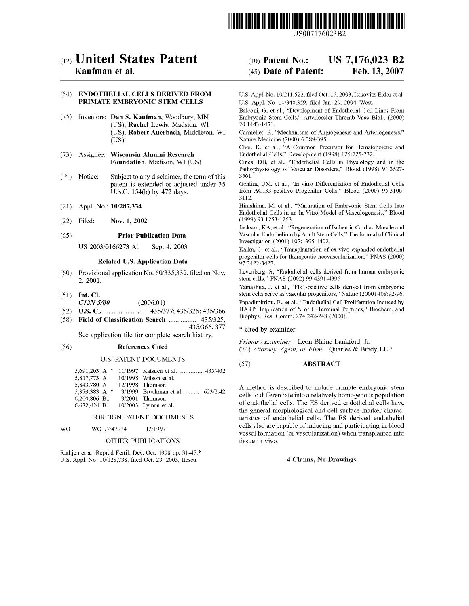

US007176023B2

# c12) **United States Patent**

## **Kaufman et al.**

## (54) **ENDOTHELIAL CELLS DERIVED FROM PRIMATE EMBRYONIC STEM CELLS**

- (75) Inventors: **Dan S. Kaufman,** Woodbury, MN (US); **Rachel Lewis,** Madsion, WI (US); **Robert Auerbach,** Middleton, WI (US)
- (73) Assignee: **Wisconsin Alumni Research Foundation,** Madison, WI (US)
- ( \*) Notice: Subject to any disclaimer, the term of this patent is extended or adjusted under 35 U.S.C. 154(b) by 472 days.
- (21) Appl. No.: **10/287,334**
- (22) Filed: **Nov. 1, 2002**

#### (65) **Prior Publication Data**

US 2003/0166273 Al Sep. 4, 2003

## **Related U.S. Application Data**

- (60) Provisional application No. 60/335,332, filed on Nov. 2, 2001.
- (51) **Int. Cl.**  *C12N 5100* (2006.01)
- (52) **U.S. Cl.** ....................... **435/377;** 435/325; 435/366
- (58) **Field of Classification Search** ................ 435/325,

435/366, 377 See application file for complete search history.

#### (56) **References Cited**

#### U.S. PATENT DOCUMENTS

|                 |  | 5,691,203 A * 11/1997 Katsuen et al.  435/402 |
|-----------------|--|-----------------------------------------------|
|                 |  | 5.817.773 A 10/1998 Wilson et al.             |
| 5,843,780 A     |  | $12/1998$ Thomson                             |
| 5.879.383 A $*$ |  | 3/1999 Bruchman et al.  623/2.42              |
| 6,200,806 B1    |  | $3/2001$ Thomson                              |
| 6.632.424 B1    |  | $10/2003$ Lyman et al.                        |
|                 |  |                                               |

#### FOREIGN PATENT DOCUMENTS

#### WO WO 97/47734 12/1997

#### OTHER PUBLICATIONS

Rathjen et al. Reprod Fertil. Dev. Oct. 1998 pp. 31-47.\* U.S. Appl. No. 10/128,738, filed Oct. 23, 2003, Itescu.

#### (IO) **Patent No.:**  (45) **Date of Patent: US 7,176,023 B2 Feb.13,2007**

U.S. Appl. No. 10/211,522, filed Oct. 16, 2003, Istkovitz-Eldor et al. U.S. Appl. No. 10/348,359, filed Jan. 29, 2004, West.

Balconi, G, et al., "Development of Endothelial Cell Lines From Embryonic Stem Cells," Arterioscler Thromb Vase Biol., (2000) 20:1443-1451.

Carmeliet, P., "Mechanisms of Angiogenesis and Arteriogenesis," Nature Medicine (2000) 6:389-395.

Choi, K, et al., "A Common Precursor for Hematopoietic and Endothelial Cells," Development (1998) 125:725-732.

Cines, DB, et al., "Endothelial Cells in Physiology and in the Pathophysiology of Vascular Disorders," Blood (1998) 91:3527- 3561.

Gehling UM, et al., "In vitro Differentiation of Endothelial Cells from AC133-positive Progenitor Cells," Blood (2000) 95:3106- 3112.

Hirashima, M, et al., "Maturation of Embryonic Stem Cells Into Endothelial Cells in an In Vitro Model of Vasculogenesis," Blood (1999) 93:1253-1263.

Jackson, KA, et al., "Regeneration of Ischemic Cardiac Muscle and Vascular Endothelium by Adult Stem Cells," The Journal of Clinical Investigation (2001) 107:1395-1402.

Kalka, C, et al., "Transplantation of ex vivo expanded endothelial progenitor cells for therapeutic neovascularization," **PNAS** (2000) 97:3422-3427.

Levenberg, S, "Endothelial cells derived from human embryonic stem cells," **PNAS** (2002) 99:4391-4396.

Yamashita, J, et al., "Flkl-positive cells derived from embryonic stem cells serve as vascular progenitors," Nature (2000) 408:92-96.

Papadimitriou, E., et al., "Endothelial Cell Proliferation Induced by HARP: Implication of N or C Terminal Peptides," Biochem. and Biophys. Res. Comm. 274:242-248 (2000).

\* cited by examiner

*Primary Examiner-Leon* Blaine Lankford, Jr. (74) *Attorney, Agent, or Firm-Quarles* & Brady LLP

#### (57) **ABSTRACT**

A method is described to induce primate embryonic stem cells to differentiate into a relatively homogenous population of endothelial cells. The ES derived endothelial cells have the general morphological and cell surface marker characteristics of endothelial cells. The ES derived endothelial cells also are capable of inducing and participating in blood vessel formation (or vascularization) when transplanted into tissue in vivo.

### **4 Claims, No Drawings**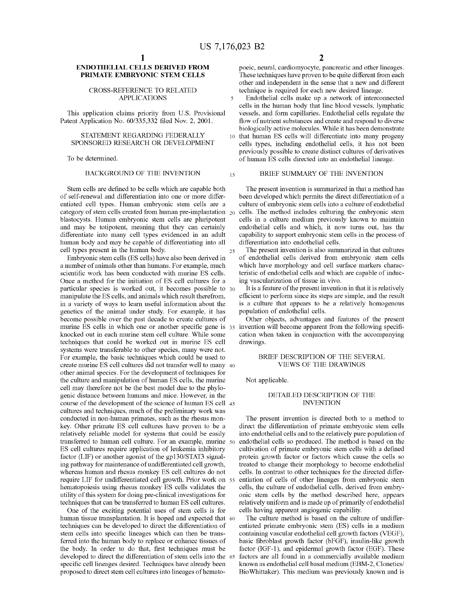25

## **ENDOTHELIAL CELLS DERIVED FROM PRIMATE EMBRYONIC STEM CELLS**

CROSS-REFERENCE TO RELATED technique is required for each new desired lineage.<br>APPLICATIONS 5 Endothelial cells make up a network of interco

This application claims priority from U.S. Provisional Patent Application No. 60/335,332 filed Nov. 2, 2001.

### STATEMENT REGARDING FEDERALLY SPONSORED RESEARCH OR DEVELOPMENT

To be determined.

Stem cells are defined to be cells which are capable both of self-renewal and differentiation into one or more differentiated cell types. Human embryonic stem cells are a category of stem cells created from human pre-implantation  $_{20}$ blastocysts. Human embryonic stem cells are pluripotent and may be totipotent, meaning that they can certainly differentiate into many cell types evidenced in an adult human body and may be capable of differentiating into all cell types present in the human body.

Embryonic stem cells (ES cells) have also been derived in a number of animals other than humans. For example, much scientific work has been conducted with murine ES cells. Once a method for the initiation of ES cell cultures for a particular species is worked out, it becomes possible to 30 manipulate the ES cells, and animals which result therefrom, murine ES cells in which one or another specific gene is  $35$  invention will become apparent from the following specifiin a variety of ways to learn useful information about the genetics of the animal under study. For example, it has become possible over the past decade to create cultures of knocked out in each murine stem cell culture. While some techniques that could be worked out in murine ES cell systems were transferable to other species, many were not. For example, the basic techniques which could be used to create murine ES cell cultures did not transfer well to many 40 other animal species. For the development of techniques for the culture and manipulation of human ES cells, the murine cell may therefore not be the best model due to the phylogenic distance between humans and mice. However, in the course of the development of the science of human ES cell 45 cultures and techniques, much of the preliminary work was conducted in non-human primates, such as the rhesus monkey. Other primate ES cell cultures have proven to be a relatively reliable model for systems that could be easily transferred to human cell culture. For an example, murine 50 ES cell cultures require application of leukemia inhibitory factor (LIF) or another agonist of the gp130/STAT3 signaling pathway for maintenance of undifferentiated cell growth, whereas human and rhesus monkey ES cell cultures do not require LIF for undifferentiated cell growth. Prior work on 55 hematopoiesis using rhesus monkey ES cells validates the utility of this system for doing pre-clinical investigations for techniques that can be transferred to human ES cell cultures.

One of the exciting potential uses of stem cells is for human tissue transplantation. It is hoped and expected that 60 techniques can be developed to direct the differentiation of stem cells into specific lineages which can then be transferred into the human body to replace or enhance tissues of the body. In order to do that, first techniques must be developed to direct the differentiation of stem cells into the 65 specific cell lineages desired. Techniques have already been proposed to direct stem cell cultures into lineages of hemato-

poeic, neural, cardiomyocyte, pancreatic and other lineages. These techniques have proven to be quite different from each other and independent in the sense that a new and different

Endothelial cells make up a network of interconnected cells in the human body that line blood vessels, lymphatic vessels, and form capillaries. Endothelial cells regulate the flow of nutrient substances and create and respond to diverse biologically active molecules. While it has been demonstrate

10 that human ES cells will differentiate into many progeny cells types, including endothelial cells, it has not been previously possible to create distinct cultures of derivatives of human ES cells directed into an endothelial lineage.

## BACKGROUND OF THE INVENTION  $_{15}$  BRIEF SUMMARY OF THE INVENTION

The present invention is summarized in that a method has been developed which permits the direct differentiation of a culture of embryonic stem cells into a culture of endothelial cells. The method includes culturing the embryonic stem cells in a culture medium previously known to maintain endothelial cells and which, it now turns out, has the capability to support embryonic stem cells in the process of differentiation into endothelial cells.

The present invention is also summarized in that cultures of endothelial cells derived from embryonic stem cells which have morphology and cell surface markers characteristic of endothelial cells and which are capable of inducing vascularization of tissue in vivo.

It is a feature of the present invention in that it is relatively efficient to perform since its steps are simple, and the result is a culture that appears to be a relatively homogenous population of endothelial cells.

Other objects, advantages and features of the present cation when taken in conjunction with the accompanying drawings.

#### BRIEF DESCRIPTION OF THE SEVERAL VIEWS OF THE DRAWINGS

Not applicable.

#### DETAILED DESCRIPTION OF THE INVENTION

The present invention is directed both to a method to direct the differentiation of primate embryonic stem cells into endothelial cells and to the relatively pure population of endothelial cells so produced. The method is based on the cultivation of primate embryonic stem cells with a defined protein growth factor or factors which cause the cells so treated to change their morphology to become endothelial cells. In contrast to other techniques for the directed differentiation of cells of other lineages from embryonic stem cells, the culture of endothelial cells, derived from embryonic stem cells by the method described here, appears relatively uniform and is made up of primarily of endothelial cells having apparent angiogenic capability.

The culture method is based on the culture of undifferentiated primate embryonic stem (ES) cells in a medium containing vascular endothelial cell growth factors (VEGF), basic fibroblast growth factor (bFGF), insulin-like growth factor (IGF-1), and epidermal growth factor (EGF). These factors are all found in a commercially available medium known as endothelial cell basal medium (EBM-2, Clonetics/ Bio Whittaker). This medium was previously known and is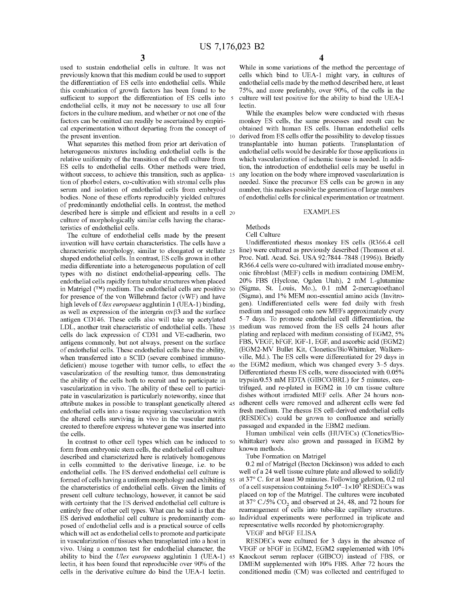used to sustain endothelial cells in culture. It was not previously known that this medium could be used to support the differentiation of ES cells into endothelial cells. While this combination of growth factors has been found to be sufficient to support the differentiation of ES cells into 5 endothelial cells, it may not be necessary to use all four factors in the culture medium, and whether or not one of the factors can be omitted can readily be ascertained by empirical experimentation without departing from the concept of obtained with human ES cells. Human endothelial cells the present invention.

What separates this method from prior art derivation of heterogeneous mixtures including endothelial cells is the relative uniformity of the transition of the cell culture from ES cells to endothelial cells. Other methods were tried, without success, to achieve this transition, such as applica- 15 tion of phorbol esters, co-cultivation with stromal cells plus serum and isolation of endothelial cells from embryoid bodies. None of these efforts reproducibly yielded cultures of predominantly endothelial cells. In contrast, the method described here is simple and efficient and results in a cell 20 culture of morphologically similar cells having the characteristics of endothelial cells.

The culture of endothelial cells made by the present invention will have certain characteristics. The cells have a characteristic morphology, similar to elongated or stellate shaped endothelial cells. In contrast, ES cells grown in other media differentiate into a heterogeneous population of cell types with no distinct endothelial-appearing cells. The endothelial cells rapidly form tubular structures when placed in Matrigel  $(TM)$  medium. The endothelial cells are positive 30 for presence of the von Willebrand factor (vWF) and have high levels of *Ulex europaeus* agglutinin 1 (UEA-1) binding, as well as expression of the intergrin  $\alpha \alpha \beta 3$  and the surface antigen CD146. These cells also will take up acetylated LDL, another trait characteristic of endothelial cells. These 35 medium was removed from the ES cells 24 hours after cells do lack expression of CD31 and VE-cadherin, two antigens commonly, but not always, present on the surface of endothelial cells. These endothelial cells have the ability, when transferred into a SCID (severe combined immunodeficient) mouse together with tumor cells, to effect the 40 vascularization of the resulting tumor, thus demonstrating the ability of the cells both to recruit and to participate in vascularization in vivo. The ability of these cell to participate in vascularization is particularly noteworthy, since that attribute makes in possible to transplant genetically altered endothelial cells into a tissue requiring vascularization with the altered cells surviving in vivo in the vascular matrix created to therefore express whatever gene was inserted into the cells.

In contrast to other cell types which can be induced to 50 form from embryonic stem cells, the endothelial cell culture described and characterized here is relatively homogenous in cells committed to the derivative lineage, i.e. to be endothelial cells. The ES derived endothelial cell culture is formed of cells having a uniform morphology and exhibiting 55 the characteristics of endothelial cells. Given the limits of present cell culture technology, however, it cannot be said with certainty that the ES derived endothelial cell culture is entirely free of other cell types. What can be said is that the ES derived endothelial cell culture is predominantly composed of endothelial cells and is a practical source of cells which will act as endothelial cells to promote and participate in vascularization of tissues when transplanted into a host in vivo. Using a common test for endothelial character, the ability to bind the *Ulex europaeus* agglutinin 1 (UEA-1) 65 lectin, it has been found that reproducible over 90% of the cells in the derivative culture do bind the UEA-1 lectin.

While in some variations of the method the percentage of cells which bind to UEA-1 might vary, in cultures of endothelial cells made by the method described here, at least 75%, and more preferably, over 90%, of the cells in the culture will test positive for the ability to bind the UEA-1 lectin.

While the examples below were conducted with rhesus monkey ES cells, the same processes and result can be derived from ES cells offer the possibility to develop tissues transplantable into human patients. Transplantation of endothelial cells would be desirable for those applications in which vascularization of ischemic tissue is needed. In addition, the introduction of endothelial cells may be useful in any location on the body where improved vascularization is needed. Since the precursor ES cells can be grown in any number, this makes possible the generation of large numbers of endothelial cells for clinical experimentation or treatment.

### EXAMPLES

# Methods

Cell Culture

Undifferentiated rhesus monkey ES cells (R366.4 cell line) were cultured as previously described (Thomson et al. Proc. Natl. Acad. Sci. USA 92:7844-7848 (1996)). Briefly R366.4 cells were co-cultured with irradiated mouse embryonic fibroblast (MEF) cells in medium containing DMEM, 20% FBS (Hyclone, Ogden Utah), 2 mM L-glutamine (Sigma, St. Louis, Mo.), 0.1 mM 2-mercaptoethanol (Sigma), and 1% MEM non-essential amino acids (Invitrogen). Undifferentiated cells were fed daily with fresh medium and passaged onto new MEFs approximately every 5-7 days. To promote endothelial cell differentiation, the plating and replaced with medium consisting of EGM2, 5% FBS, VEGF, bFGF, IGF-1, EGF, and ascorbic acid (EGM2) (EGM2-MV Bullet Kit, Clonetics/BioWhittaker, Walkersville, Md.). The ES cells were differentiated for 29 days in the EGM2 medium, which was changed every 3-5 days. Differentiated rhesus ES cells, were dissociated with 0.05% trypsin/0.53 mM EDTA (GIBCO/BRL) for 5 minutes, centrifuged, and re-plated in EGM2 in 10 cm tissue culture dishes without irradiated MEF cells. After 24 hours nonadherent cells were removed and adherent cells were fed fresh medium. The rhesus ES cell-derived endothelial cells (RESDECs) could be grown to confluence and serially passaged and expanded in the EBM2 medium.

Human umbilical vein cells (HUVECs) (Clonetics/Biowhittaker) were also grown and passaged in EGM2 by known methods.

Tube Formation on Matrigel

0.2 ml of Matrigel (Becton Dickinson) was added to each well of a 24 well tissue culture plate and allowed to solidify at 37° C. for at least 30 minutes. Following gelation, 0.2 ml of a cell suspension containing  $5 \times 10^4 - 1 \times 10^5$  RESDECs was placed on top of the Matrigel. The cultures were incubated at 37 $\degree$  C./5% CO<sub>2</sub> and observed at 24, 48, and 72 hours for rearrangement of cells into tube-like capillary structures. Individual experiments were performed in triplicate and representative wells recorded by photomicrography.

VEGF and bFGF ELISA

RESDECs were cultured for 3 days in the absence of VEGF or bFGF in EGM2, EGM2 supplemented with 10% Knockout serum replacer (GIBCO) instead of FBS, or DMEM supplemented with 10% FBS. After 72 hours the conditioned media (CM) was collected and centrifuged to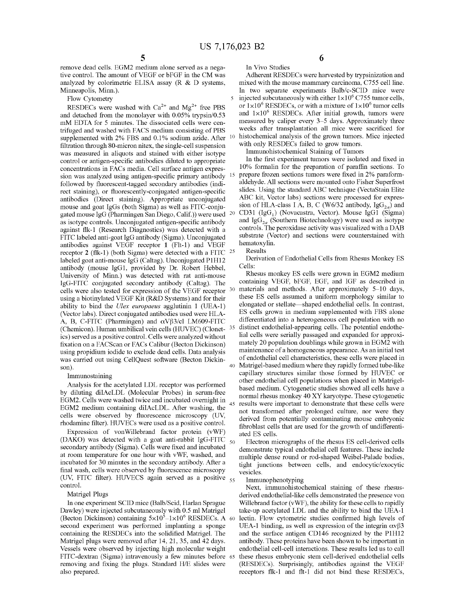remove dead cells. EGM2 medium alone served as a negative control. The amount of VEGF or bFGF in the CM was analyzed by colorimetric ELISA assay (R & D systems, Minneapolis, Minn.).

Flow Cytometry

RESDECs were washed with  $Ca^{2+}$  and  $Mg^{2+}$  free PBS and detached from the monolayer with 0.05% trypsin/0.53 mM EDTA for 5 minutes. The dissociated cells were centrifuged and washed with FACS medium consisting of PBS supplemented with 2% FBS and 0.1% sodium azide. After filtration through SO-micron nitex, the single-cell suspension was measured in aliquots and stained with either isotype control or antigen-specific antibodies diluted to appropriate concentrations in FACs media. Cell surface antigen expression was analyzed using antigen-specific primary antibody followed by fluorescent-tagged secondary antibodies (indirect staining), or fluorescently-conjugated antigen-specific antibodies (Direct staining). Appropriate unconjugated mouse and goat IgGs (both Sigma) as well as FITC-conjugated mouse IgG (Pharmingen San Diego, Calif.)) were used as isotype controls. Unconjugated antigen-specific antibody against flk-1 (Research Diagnostics) was detected with a FITC labeled anti-goat IgG antibody (Sigma). Unconjugated antibodies against VEGF receptor **1** (Flt-1) and VEGF receptor **2** (flk-1) (both Sigma) were detected with a FITC 25 labeled goat anti-mouse IgG (Caltag). Unconjugated P1H12 antibody (mouse IgGl, provided by Dr. Robert Hebbel, University of Minn.) was detected with rat anti-mouse IgG-FITC conjugated secondary antibody (Caltag). The cells were also tested for expression of the VEGF receptor 30 using a biotinylated VEGF Kit (R&D Systems) and for their ability to bind the *Ulex europaeus* agglutinin 1 (UEA-1) (Vector labs). Direct conjugated antibodies used were HLA-A, B, C-FITC (Pharmingen) and  $\alpha V\beta 3/c1$  LM609-FITC (Chemicon). Human umbilical vein cells (HUVEC) (Clonetics) served as a positive control. Cells were analyzed without fixation on a FACScan or FACs Calibur (Becton Dickinson) using propidium iodide to exclude dead cells. Data analysis was carried out using CellQuest software (Becton Dickin-

#### Immunostaining

Analysis for the acetylated LDL receptor was performed by diluting diIAcLDL (Molecular Probes) in serum-free EGM2. Cells were washed twice and incubated overnight in EGM2 medium containing diIAcLDL. After washing, the cells were observed by fluorescence microscopy (UV, rhodamine filter). HUVECs were used as a positive control.

Expression of von Willebrand factor protein (vWF) (DAKO) was detected with a goat anti-rabbit IgG-FITC  $_{50}$ secondary antibody (Sigma). Cells were fixed and incubated at room temperature for one hour with vWF, washed, and incubated for 30 minutes in the secondary antibody. After a final wash, cells were observed by fluorescence microscopy (UV, FITC filter). HUVECS again served as a positive  $_{55}$  Immunophenotyping control.

#### Matrigel Plugs

In one experiment SCID mice (Balb/Scid, Harlan Sprague Dawley) were injected subcutaneously with 0.5 ml Matrigel (Becton Dickinson) containing  $5 \times 10^5 - 1 \times 10^6$  RESDECs. A second experiment was performed implanting a sponge containing the RESDECs into the solidified Matrigel. The Matrigel plugs were removed after 14, 21, 35, and 42 days. Vessels were observed by injecting high molecular weight FITC-dextran (Sigma) intravenously a few minutes before 65 removing and fixing the plugs. Standard H/E slides were also prepared.

**6** 

In Vivo Studies Adherent RESDECs were harvested by trypsinization and mixed with the mouse mammary carcinoma, C755 cell line. In two separate experiments Balb/c-SCID mice were 5 injected subcutaneously with either  $1 \times 10^6$  C755 tumor cells, or  $1\times10^6$  RESDECs, or with a mixture of  $1\times10^6$  tumor cells and  $1\times10^6$  RESDECs. After initial growth, tumors were measured by caliper every 3-5 days. Approximately three weeks after transplantation all mice were sacrificed for 10 histochemical analysis of the grown tumors. Mice injected with only RESDECs failed to grow tumors.

Immunohistochemical Staining of Tumors

In the first experiment tumors were isolated and fixed in 10% formalin for the preparation of paraffin sections. To prepare frozen sections tumors were fixed in 2% paraformaldehyde. All sections were mounted onto Fisher Superfrost slides. Using the standard ABC technique (VectaStain Elite ABC kit, Vector labs) sections were processed for expression of HLA-class I A, B, C (W6/32 antibody,  $\text{IgG}_{2a}$ ) and CD31 (IgG<sub>1</sub>) (Novacastra, Vector). Mouse IgG1 (Sigma) and  $\text{IgG}_{2a}$  (Southern Biotechnology) were used as isotype controls. The peroxidase activity was visualized with a DAB substrate (Vector) and sections were counterstained with hematoxylin.

Results

Derivation of Endothelial Cells from Rhesus Monkey ES Cells:

Rhesus monkey ES cells were grown in EGM2 medium containing VEGF, bFGF, EGF, and IGF as described in materials and methods. After approximately 5-10 days, these ES cells assumed a uniform morphology similar to elongated or stellate-shaped endothelial cells. In contrast, ES cells grown in medium supplemented with FBS alone differentiated into a heterogeneous cell population with no distinct endothelial-appearing cells. The potential endothelial cells were serially passaged and expanded for approximately 20 population doublings while grown in EGM2 with maintenance of a homogeneous appearance. As an initial test of endothelial cell characteristics, these cells were placed in son). 40 Matrigel-based medium where they rapidly formed tube-like capillary structures similar those formed by HUVEC or other endothelial cell populations when placed in Matrigelbased medium. Cytogenetic studies showed all cells have a normal rhesus monkey 40 XY karyotype. These cytogenetic 45 results were important to demonstrate that these cells were not transformed after prolonged culture, nor were they derived from potentially contaminating mouse embryonic fibroblast cells that are used for the growth of undifferentiated ES cells.

> Electron micrographs of the rhesus ES cell-derived cells demonstrate typical endothelial cell features. These include multiple dense round or rod-shaped Weibel-Palade bodies, tight junctions between cells, and endocytic/exocytic vesicles.

Next, immunohistochemical staining of these rhesusderived endothelial-like cells demonstrated the presence von Willebrand factor (vWF), the ability for these cells to rapidly take-up acetylated LDL and the ability to bind the UEA-1 lectin. Flow cytometric studies confirmed high levels of UEA-1 binding, as well as expression of the integrin  $\alpha v \beta 3$ and the surface antigen CD146 recognized by the P1H12 antibody. These proteins have been shown to be important in endothelial cell-cell interactions. These results led us to call these rhesus embryonic stem cell-derived endothelial cells (RESDECs). Surprisingly, antibodies against the VEGF receptors flk-1 and flt-1 did not bind these RESDECs,